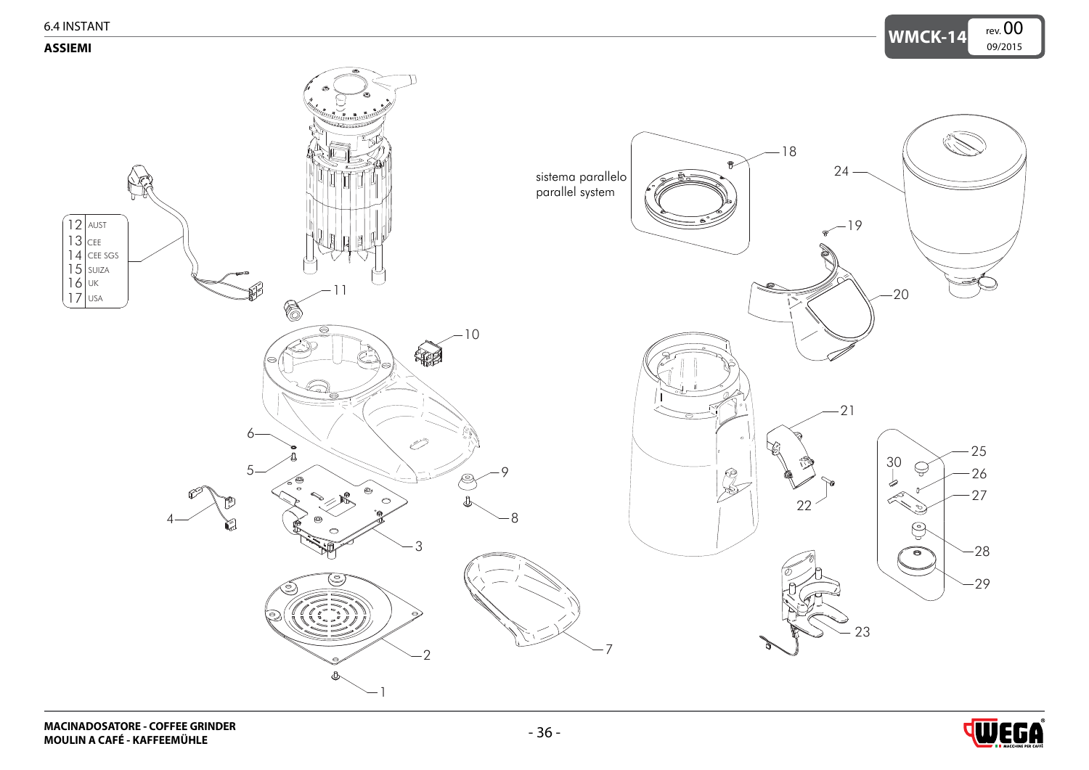<span id="page-0-0"></span>